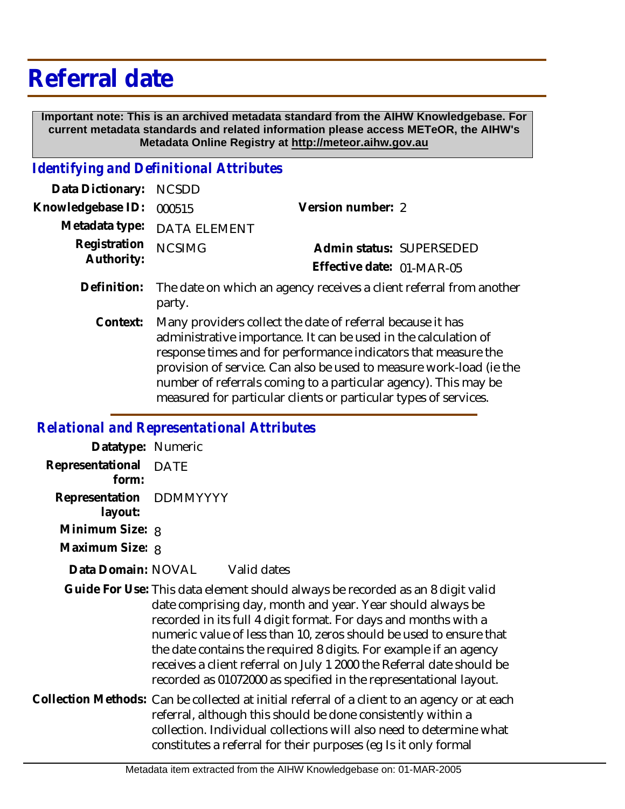## **Referral date**

 **Important note: This is an archived metadata standard from the AIHW Knowledgebase. For current metadata standards and related information please access METeOR, the AIHW's Metadata Online Registry at http://meteor.aihw.gov.au**

## *Identifying and Definitional Attributes*

| Data Dictionary: NCSDD   |                             |                           |  |
|--------------------------|-----------------------------|---------------------------|--|
| Knowledgebase ID: 000515 |                             | Version number: 2         |  |
|                          | Metadata type: DATA ELEMENT |                           |  |
| Registration NCSIMG      |                             | Admin status: SUPERSEDED  |  |
| Authority:               |                             | Effective date: 01-MAR-05 |  |
|                          |                             |                           |  |

- The date on which an agency receives a client referral from another party. **Definition:**
	- Many providers collect the date of referral because it has administrative importance. It can be used in the calculation of response times and for performance indicators that measure the provision of service. Can also be used to measure work-load (ie the number of referrals coming to a particular agency). This may be measured for particular clients or particular types of services. **Context:**

## *Relational and Representational Attributes*

| Datatype: Numeric                  |                                                                                                                                                                                                                                                                                                                                                                                                                                                                                                          |  |
|------------------------------------|----------------------------------------------------------------------------------------------------------------------------------------------------------------------------------------------------------------------------------------------------------------------------------------------------------------------------------------------------------------------------------------------------------------------------------------------------------------------------------------------------------|--|
| Representational<br>form:          | DATE                                                                                                                                                                                                                                                                                                                                                                                                                                                                                                     |  |
| Representation DDMMYYYY<br>layout: |                                                                                                                                                                                                                                                                                                                                                                                                                                                                                                          |  |
| Minimum Size: 8                    |                                                                                                                                                                                                                                                                                                                                                                                                                                                                                                          |  |
| Maximum Size: 8                    |                                                                                                                                                                                                                                                                                                                                                                                                                                                                                                          |  |
| Data Domain: NOVAL                 | Valid dates                                                                                                                                                                                                                                                                                                                                                                                                                                                                                              |  |
|                                    | Guide For Use: This data element should always be recorded as an 8 digit valid<br>date comprising day, month and year. Year should always be<br>recorded in its full 4 digit format. For days and months with a<br>numeric value of less than 10, zeros should be used to ensure that<br>the date contains the required 8 digits. For example if an agency<br>receives a client referral on July 1 2000 the Referral date should be<br>recorded as 01072000 as specified in the representational layout. |  |
|                                    | Collection Methods: Can be collected at initial referral of a client to an agency or at each<br>referral, although this should be done consistently within a<br>collection. Individual collections will also need to determine what<br>constitutes a referral for their purposes (eg Is it only formal                                                                                                                                                                                                   |  |